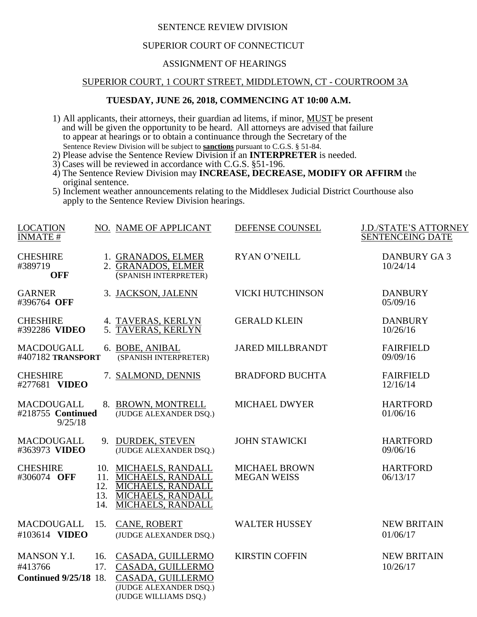### SENTENCE REVIEW DIVISION

### SUPERIOR COURT OF CONNECTICUT

#### ASSIGNMENT OF HEARINGS

# SUPERIOR COURT, 1 COURT STREET, MIDDLETOWN, CT - COURTROOM 3A

# **TUESDAY, JUNE 26, 2018, COMMENCING AT 10:00 A.M.**

- 1) All applicants, their attorneys, their guardian ad litems, if minor, MUST be present and will be given the opportunity to be heard. All attorneys are advised that failure to appear at hearings or to obtain a continuance through the Secretary of the Sentence Review Division will be subject to **sanctions** pursuant to C.G.S. § 51-84.
- 2) Please advise the Sentence Review Division if an **INTERPRETER** is needed.
- 3) Cases will be reviewed in accordance with C.G.S. §51-196.
- 4) The Sentence Review Division may **INCREASE, DECREASE, MODIFY OR AFFIRM** the original sentence.
- 5) Inclement weather announcements relating to the Middlesex Judicial District Courthouse also apply to the Sentence Review Division hearings.

| <b>LOCATION</b>                                               |                          | NO. NAME OF APPLICANT                                                                                                                 | DEFENSE COUNSEL                            | <b>J.D./STATE'S ATTORNEY</b>   |
|---------------------------------------------------------------|--------------------------|---------------------------------------------------------------------------------------------------------------------------------------|--------------------------------------------|--------------------------------|
| <b>INMATE#</b>                                                |                          |                                                                                                                                       |                                            | <b>SENTENCEING DATE</b>        |
| <b>CHESHIRE</b><br>#389719<br><b>OFF</b>                      |                          | 1. GRANADOS, ELMER<br>2. GRANADOS, ELMER<br>(SPANISH INTERPRETER)                                                                     | <b>RYAN O'NEILL</b>                        | <b>DANBURY GA3</b><br>10/24/14 |
| <b>GARNER</b><br>#396764 OFF                                  |                          | 3. JACKSON, JALENN                                                                                                                    | <b>VICKI HUTCHINSON</b>                    | <b>DANBURY</b><br>05/09/16     |
| <b>CHESHIRE</b><br>#392286 VIDEO                              |                          | 4. TAVERAS, KERLYN<br>5. TAVERAS, KERLYN                                                                                              | <b>GERALD KLEIN</b>                        | <b>DANBURY</b><br>10/26/16     |
| MACDOUGALL<br>#407182 TRANSPORT                               |                          | 6. BOBE, ANIBAL<br>(SPANISH INTERPRETER)                                                                                              | <b>JARED MILLBRANDT</b>                    | <b>FAIRFIELD</b><br>09/09/16   |
| <b>CHESHIRE</b><br>#277681 VIDEO                              |                          | 7. SALMOND, DENNIS                                                                                                                    | <b>BRADFORD BUCHTA</b>                     | <b>FAIRFIELD</b><br>12/16/14   |
| <b>MACDOUGALL</b><br>#218755 Continued<br>9/25/18             |                          | 8. BROWN, MONTRELL<br>(JUDGE ALEXANDER DSQ.)                                                                                          | <b>MICHAEL DWYER</b>                       | <b>HARTFORD</b><br>01/06/16    |
| <b>MACDOUGALL</b><br>#363973 VIDEO                            |                          | 9. DURDEK, STEVEN<br>(JUDGE ALEXANDER DSQ.)                                                                                           | <b>JOHN STAWICKI</b>                       | <b>HARTFORD</b><br>09/06/16    |
| <b>CHESHIRE</b><br>#306074 OFF                                | 11.<br>12.<br>13.<br>14. | 10. MICHAELS, RANDALL<br><b>MICHAELS, RANDALL</b><br><b>MICHAELS, RANDALL</b><br><b>MICHAELS, RANDALL</b><br><b>MICHAELS, RANDALL</b> | <b>MICHAEL BROWN</b><br><b>MEGAN WEISS</b> | <b>HARTFORD</b><br>06/13/17    |
| <b>MACDOUGALL</b><br>#103614 VIDEO                            | 15.                      | CANE, ROBERT<br>(JUDGE ALEXANDER DSQ.)                                                                                                | <b>WALTER HUSSEY</b>                       | <b>NEW BRITAIN</b><br>01/06/17 |
| <b>MANSON Y.I.</b><br>#413766<br><b>Continued 9/25/18 18.</b> | 16.<br>17.               | CASADA, GUILLERMO<br>CASADA, GUILLERMO<br>CASADA, GUILLERMO<br>(JUDGE ALEXANDER DSQ.)<br>(JUDGE WILLIAMS DSQ.)                        | <b>KIRSTIN COFFIN</b>                      | <b>NEW BRITAIN</b><br>10/26/17 |